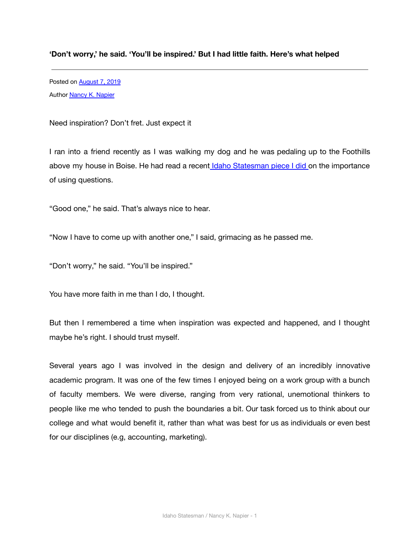## **'Don't worry,' he said. 'You'll be inspired.' But I had little faith. Here's what helped**

Posted on [August 7, 2019](http://nancyknapier.com/dont-worry-he-said-youll-be-inspired-but-i-had-little-faith-heres-what-helped/) Author **[Nancy K. Napier](http://nancyknapier.com/author/createboisestate-edu/)** 

Need inspiration? Don't fret. Just expect it

I ran into a friend recently as I was walking my dog and he was pedaling up to the Foothills above my house in Boise. He had read a recent Idaho [Statesman](https://www.idahostatesman.com/news/business/biz-columns-blogs/article230505469.html) piece I did on the importance of using questions.

"Good one," he said. That's always nice to hear.

"Now I have to come up with another one," I said, grimacing as he passed me.

"Don't worry," he said. "You'll be inspired."

You have more faith in me than I do, I thought.

But then I remembered a time when inspiration was expected and happened, and I thought maybe he's right. I should trust myself.

Several years ago I was involved in the design and delivery of an incredibly innovative academic program. It was one of the few times I enjoyed being on a work group with a bunch of faculty members. We were diverse, ranging from very rational, unemotional thinkers to people like me who tended to push the boundaries a bit. Our task forced us to think about our college and what would benefit it, rather than what was best for us as individuals or even best for our disciplines (e.g, accounting, marketing).